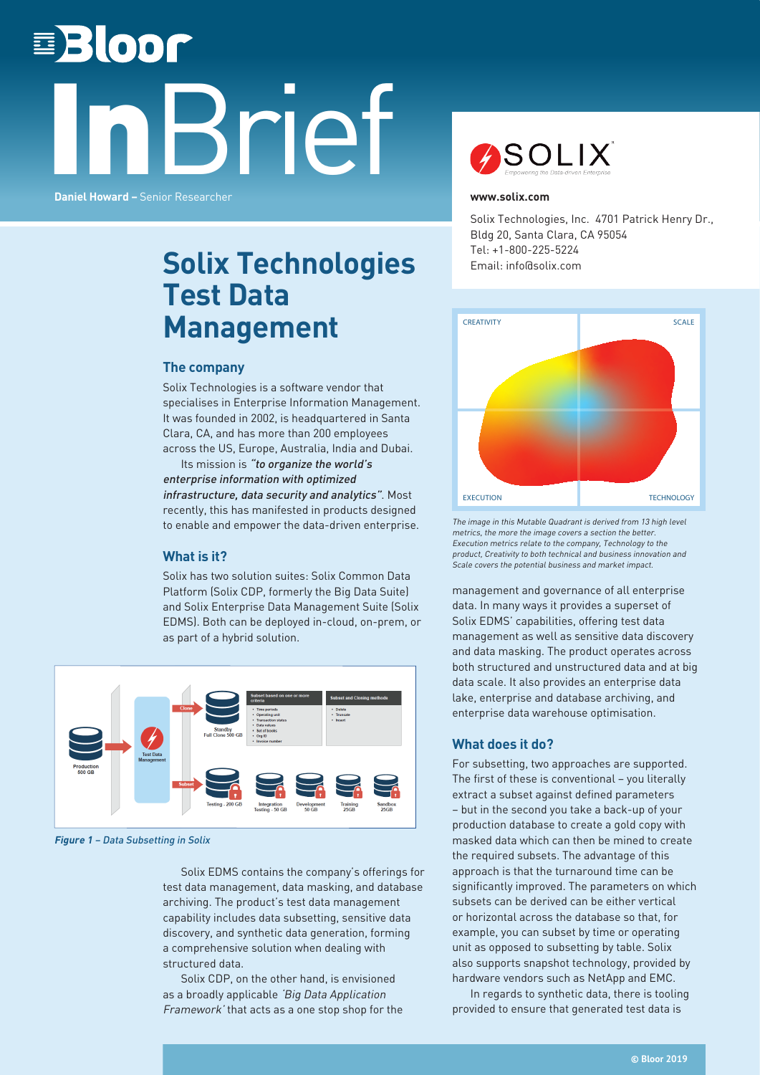# **EBloor** Brief **Daniel Howard –** Senior Researcher



#### **www.solix.com**

Solix Technologies, Inc. 4701 Patrick Henry Dr., Bldg 20, Santa Clara, CA 95054 Tel: +1-800-225-5224 Email: info@solix.com

# **Solix Technologies Test Data Management**

## **The company**

Solix Technologies is a software vendor that specialises in Enterprise Information Management. It was founded in 2002, is headquartered in Santa Clara, CA, and has more than 200 employees across the US, Europe, Australia, India and Dubai.

Its mission is "to organize the world's enterprise information with optimized infrastructure, data security and analytics". Most recently, this has manifested in products designed to enable and empower the data-driven enterprise.

## **What is it?**

Solix has two solution suites: Solix Common Data Platform (Solix CDP, formerly the Big Data Suite) and Solix Enterprise Data Management Suite (Solix EDMS). Both can be deployed in-cloud, on-prem, or as part of a hybrid solution.



**Figure 1** – Data Subsetting in Solix

Solix EDMS contains the company's offerings for test data management, data masking, and database archiving. The product's test data management capability includes data subsetting, sensitive data discovery, and synthetic data generation, forming a comprehensive solution when dealing with structured data.

Solix CDP, on the other hand, is envisioned as a broadly applicable 'Big Data Application Framework' that acts as a one stop shop for the



The image in this Mutable Quadrant is derived from 13 high level metrics, the more the image covers a section the better. Execution metrics relate to the company, Technology to the product, Creativity to both technical and business innovation and Scale covers the potential business and market impact.

management and governance of all enterprise data. In many ways it provides a superset of Solix EDMS' capabilities, offering test data management as well as sensitive data discovery and data masking. The product operates across both structured and unstructured data and at big data scale. It also provides an enterprise data lake, enterprise and database archiving, and enterprise data warehouse optimisation.

# **What does it do?**

For subsetting, two approaches are supported. The first of these is conventional – you literally extract a subset against defined parameters – but in the second you take a back-up of your production database to create a gold copy with masked data which can then be mined to create the required subsets. The advantage of this approach is that the turnaround time can be significantly improved. The parameters on which subsets can be derived can be either vertical or horizontal across the database so that, for example, you can subset by time or operating unit as opposed to subsetting by table. Solix also supports snapshot technology, provided by hardware vendors such as NetApp and EMC.

In regards to synthetic data, there is tooling provided to ensure that generated test data is